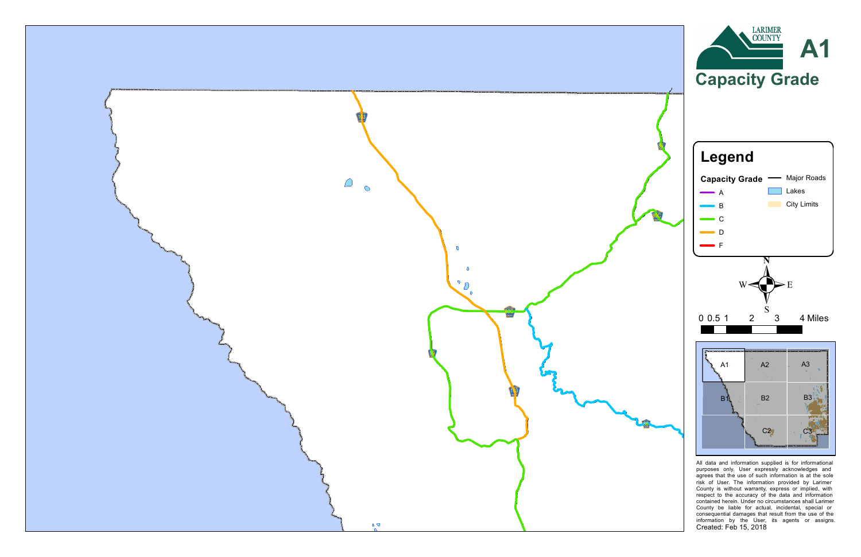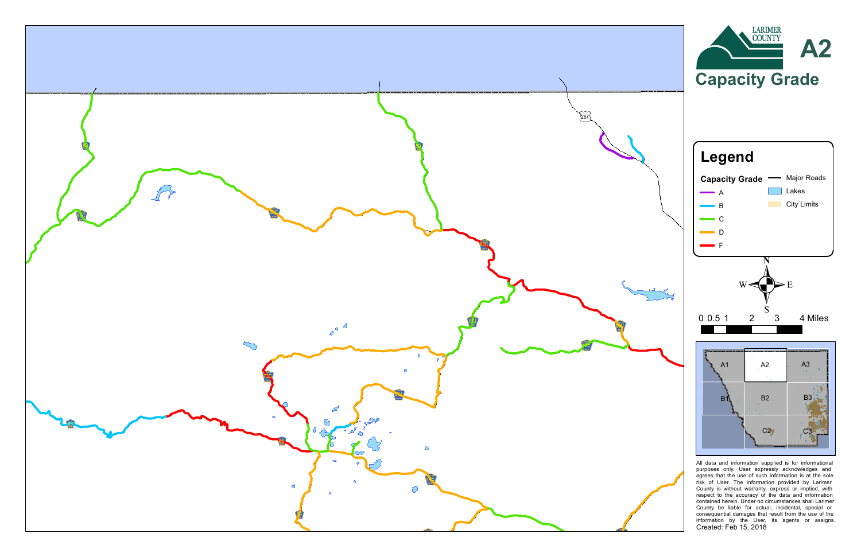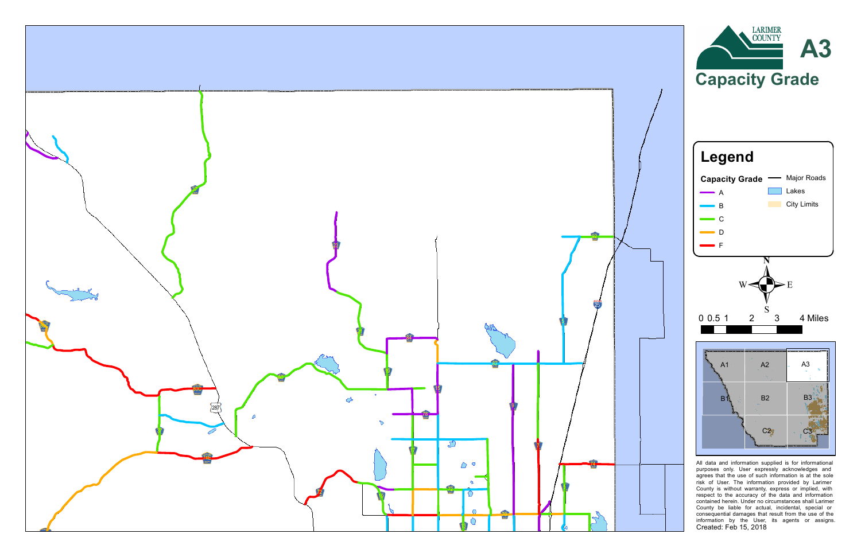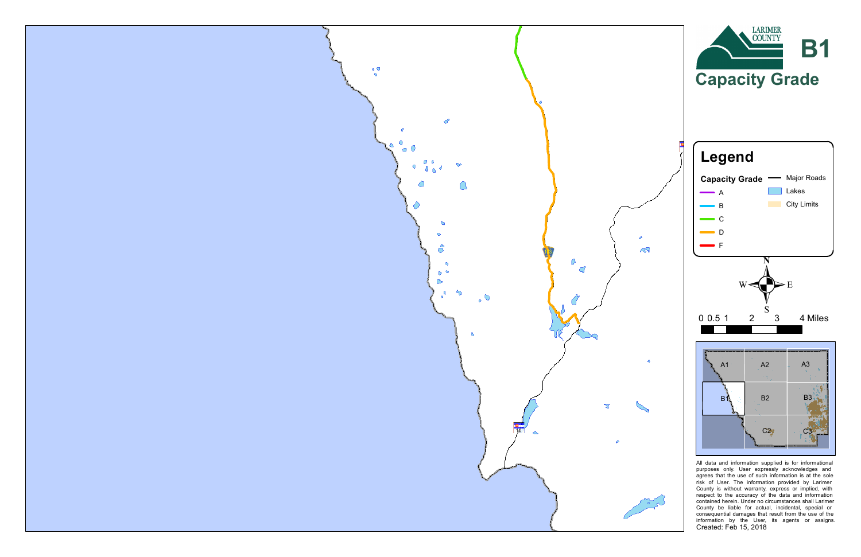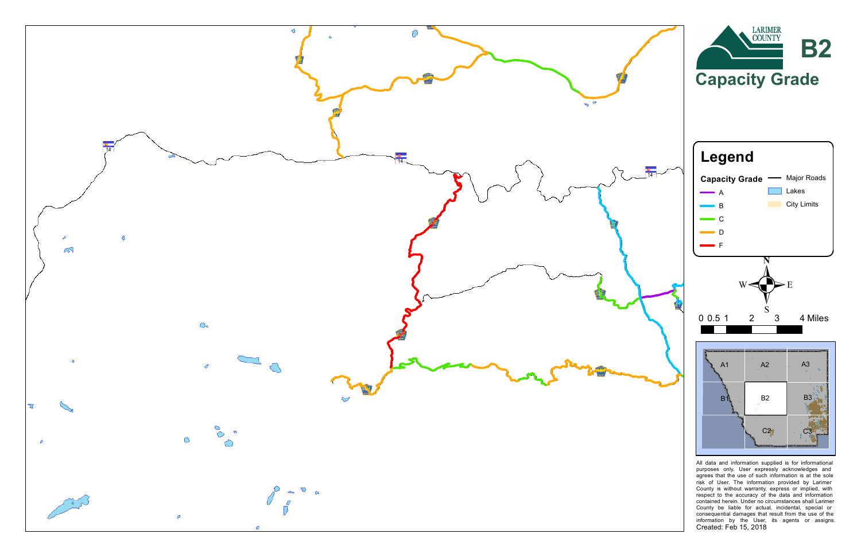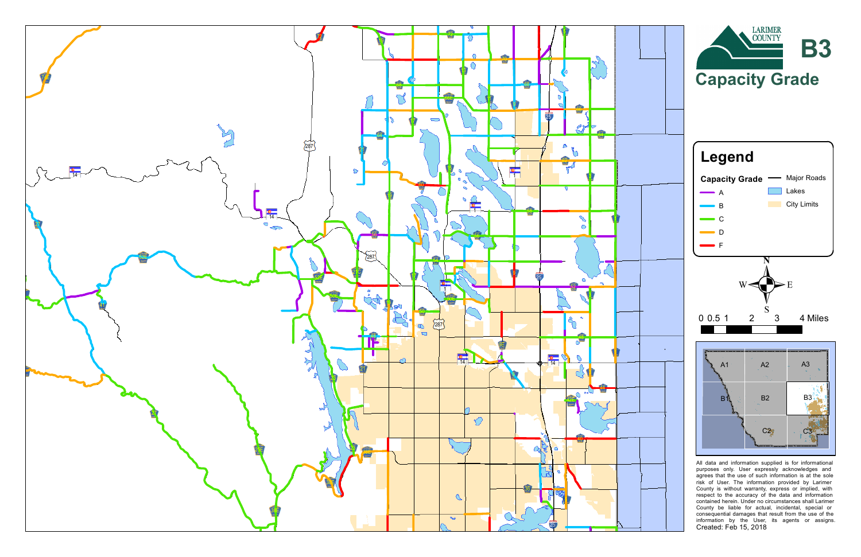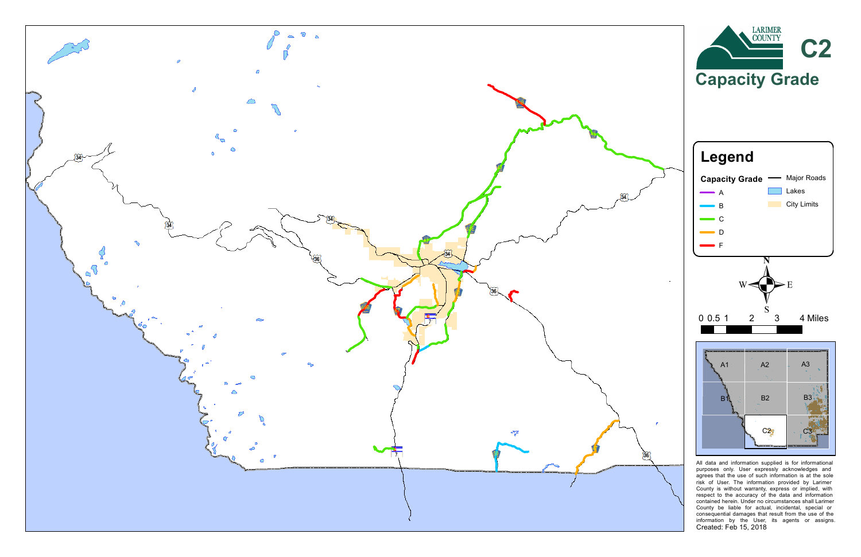